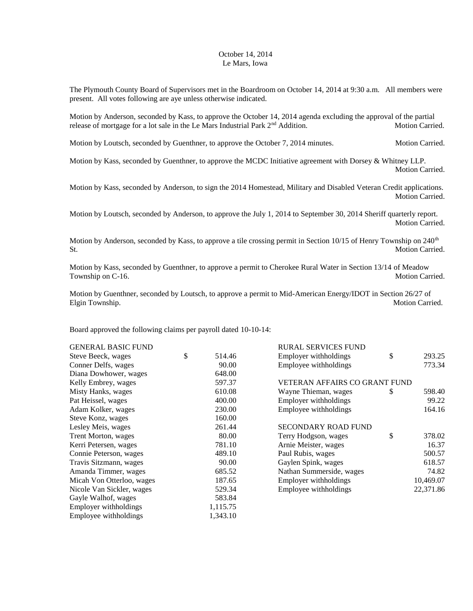## October 14, 2014 Le Mars, Iowa

The Plymouth County Board of Supervisors met in the Boardroom on October 14, 2014 at 9:30 a.m. All members were present. All votes following are aye unless otherwise indicated.

Motion by Anderson, seconded by Kass, to approve the October 14, 2014 agenda excluding the approval of the partial release of mortgage for a lot sale in the Le Mars Industrial Park 2<sup>nd</sup> Addition. Motion Carried.

Motion by Loutsch, seconded by Guenthner, to approve the October 7, 2014 minutes. Motion Carried.

Motion by Kass, seconded by Guenthner, to approve the MCDC Initiative agreement with Dorsey & Whitney LLP. Motion Carried.

Motion by Kass, seconded by Anderson, to sign the 2014 Homestead, Military and Disabled Veteran Credit applications. Motion Carried.

Motion by Loutsch, seconded by Anderson, to approve the July 1, 2014 to September 30, 2014 Sheriff quarterly report. Motion Carried.

Motion by Anderson, seconded by Kass, to approve a tile crossing permit in Section 10/15 of Henry Township on  $240<sup>th</sup>$ St. Motion Carried.

Motion by Kass, seconded by Guenthner, to approve a permit to Cherokee Rural Water in Section 13/14 of Meadow Township on C-16. Motion Carried.

Motion by Guenthner, seconded by Loutsch, to approve a permit to Mid-American Energy/IDOT in Section 26/27 of Elgin Township. Motion Carried.

Board approved the following claims per payroll dated 10-10-14:

| <b>GENERAL BASIC FUND</b> |              | <b>RURAL SERVICES FUND</b> |                                      |           |  |
|---------------------------|--------------|----------------------------|--------------------------------------|-----------|--|
| Steve Beeck, wages        | \$<br>514.46 | Employer withholdings      | \$                                   | 293.25    |  |
| Conner Delfs, wages       | 90.00        | Employee withholdings      |                                      | 773.34    |  |
| Diana Dowhower, wages     | 648.00       |                            |                                      |           |  |
| Kelly Embrey, wages       | 597.37       |                            | <b>VETERAN AFFAIRS CO GRANT FUND</b> |           |  |
| Misty Hanks, wages        | 610.08       | Wayne Thieman, wages       | S                                    | 598.40    |  |
| Pat Heissel, wages        | 400.00       | Employer withholdings      |                                      | 99.22     |  |
| Adam Kolker, wages        | 230.00       | Employee withholdings      |                                      | 164.16    |  |
| Steve Konz, wages         | 160.00       |                            |                                      |           |  |
| Lesley Meis, wages        | 261.44       | <b>SECONDARY ROAD FUND</b> |                                      |           |  |
| Trent Morton, wages       | 80.00        | Terry Hodgson, wages       | \$                                   | 378.02    |  |
| Kerri Petersen, wages     | 781.10       | Arnie Meister, wages       |                                      | 16.37     |  |
| Connie Peterson, wages    | 489.10       | Paul Rubis, wages          |                                      | 500.57    |  |
| Travis Sitzmann, wages    | 90.00        | Gaylen Spink, wages        |                                      | 618.57    |  |
| Amanda Timmer, wages      | 685.52       | Nathan Summerside, wages   |                                      | 74.82     |  |
| Micah Von Otterloo, wages | 187.65       | Employer withholdings      |                                      | 10,469.07 |  |
| Nicole Van Sickler, wages | 529.34       | Employee withholdings      |                                      | 22,371.86 |  |
| Gayle Walhof, wages       | 583.84       |                            |                                      |           |  |
| Employer withholdings     | 1,115.75     |                            |                                      |           |  |
| Employee withholdings     | 1,343.10     |                            |                                      |           |  |